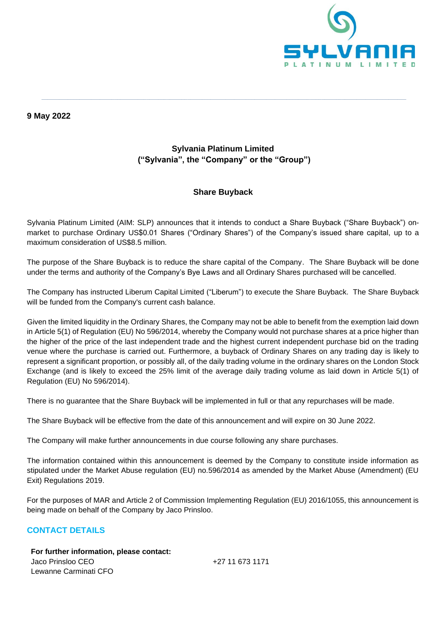

#### **9 May 2022**

# **Sylvania Platinum Limited ("Sylvania", the "Company" or the "Group")**

**\_\_\_\_\_\_\_\_\_\_\_\_\_\_\_\_\_\_\_\_\_\_\_\_\_\_\_\_\_\_\_\_\_\_\_\_\_\_\_\_\_\_\_\_\_\_\_\_\_\_\_\_\_\_\_\_\_\_\_\_\_\_\_\_\_\_\_\_\_\_\_\_\_\_\_\_\_\_\_\_\_\_\_\_\_\_\_\_\_\_\_\_\_\_\_\_\_\_\_\_\_\_\_\_\_\_\_\_\_\_\_\_\_\_\_\_\_\_\_\_\_\_\_\_\_**

## **Share Buyback**

Sylvania Platinum Limited (AIM: SLP) announces that it intends to conduct a Share Buyback ("Share Buyback") onmarket to purchase Ordinary US\$0.01 Shares ("Ordinary Shares") of the Company's issued share capital, up to a maximum consideration of US\$8.5 million.

The purpose of the Share Buyback is to reduce the share capital of the Company. The Share Buyback will be done under the terms and authority of the Company's Bye Laws and all Ordinary Shares purchased will be cancelled.

The Company has instructed Liberum Capital Limited ("Liberum") to execute the Share Buyback. The Share Buyback will be funded from the Company's current cash balance.

Given the limited liquidity in the Ordinary Shares, the Company may not be able to benefit from the exemption laid down in Article 5(1) of Regulation (EU) No 596/2014, whereby the Company would not purchase shares at a price higher than the higher of the price of the last independent trade and the highest current independent purchase bid on the trading venue where the purchase is carried out. Furthermore, a buyback of Ordinary Shares on any trading day is likely to represent a significant proportion, or possibly all, of the daily trading volume in the ordinary shares on the London Stock Exchange (and is likely to exceed the 25% limit of the average daily trading volume as laid down in Article 5(1) of Regulation (EU) No 596/2014).

There is no guarantee that the Share Buyback will be implemented in full or that any repurchases will be made.

The Share Buyback will be effective from the date of this announcement and will expire on 30 June 2022.

The Company will make further announcements in due course following any share purchases.

The information contained within this announcement is deemed by the Company to constitute inside information as stipulated under the Market Abuse regulation (EU) no.596/2014 as amended by the Market Abuse (Amendment) (EU Exit) Regulations 2019.

For the purposes of MAR and Article 2 of Commission Implementing Regulation (EU) 2016/1055, this announcement is being made on behalf of the Company by Jaco Prinsloo.

### **CONTACT DETAILS**

**For further information, please contact:** Jaco Prinsloo CEO Lewanne Carminati CFO

+27 11 673 1171